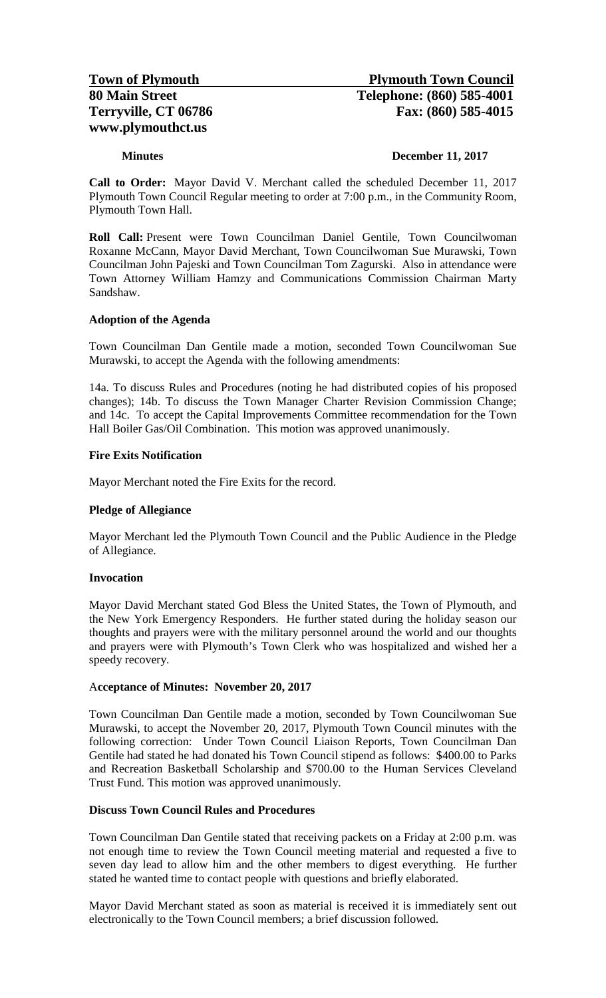#### **Minutes December 11, 2017**

**Call to Order:** Mayor David V. Merchant called the scheduled December 11, 2017 Plymouth Town Council Regular meeting to order at 7:00 p.m., in the Community Room, Plymouth Town Hall.

**Roll Call:** Present were Town Councilman Daniel Gentile, Town Councilwoman Roxanne McCann, Mayor David Merchant, Town Councilwoman Sue Murawski, Town Councilman John Pajeski and Town Councilman Tom Zagurski. Also in attendance were Town Attorney William Hamzy and Communications Commission Chairman Marty Sandshaw.

#### **Adoption of the Agenda**

Town Councilman Dan Gentile made a motion, seconded Town Councilwoman Sue Murawski, to accept the Agenda with the following amendments:

14a. To discuss Rules and Procedures (noting he had distributed copies of his proposed changes); 14b. To discuss the Town Manager Charter Revision Commission Change; and 14c. To accept the Capital Improvements Committee recommendation for the Town Hall Boiler Gas/Oil Combination. This motion was approved unanimously.

#### **Fire Exits Notification**

Mayor Merchant noted the Fire Exits for the record.

#### **Pledge of Allegiance**

Mayor Merchant led the Plymouth Town Council and the Public Audience in the Pledge of Allegiance.

#### **Invocation**

Mayor David Merchant stated God Bless the United States, the Town of Plymouth, and the New York Emergency Responders. He further stated during the holiday season our thoughts and prayers were with the military personnel around the world and our thoughts and prayers were with Plymouth's Town Clerk who was hospitalized and wished her a speedy recovery.

#### A**cceptance of Minutes: November 20, 2017**

Town Councilman Dan Gentile made a motion, seconded by Town Councilwoman Sue Murawski, to accept the November 20, 2017, Plymouth Town Council minutes with the following correction: Under Town Council Liaison Reports, Town Councilman Dan Gentile had stated he had donated his Town Council stipend as follows: \$400.00 to Parks and Recreation Basketball Scholarship and \$700.00 to the Human Services Cleveland Trust Fund. This motion was approved unanimously.

## **Discuss Town Council Rules and Procedures**

Town Councilman Dan Gentile stated that receiving packets on a Friday at 2:00 p.m. was not enough time to review the Town Council meeting material and requested a five to seven day lead to allow him and the other members to digest everything. He further stated he wanted time to contact people with questions and briefly elaborated.

Mayor David Merchant stated as soon as material is received it is immediately sent out electronically to the Town Council members; a brief discussion followed.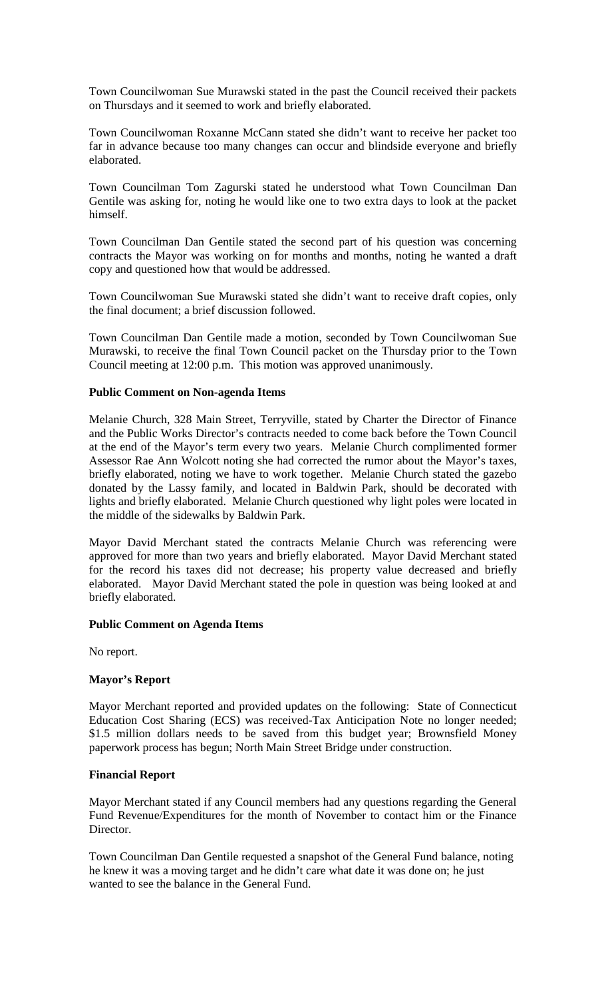Town Councilwoman Sue Murawski stated in the past the Council received their packets on Thursdays and it seemed to work and briefly elaborated.

Town Councilwoman Roxanne McCann stated she didn't want to receive her packet too far in advance because too many changes can occur and blindside everyone and briefly elaborated.

Town Councilman Tom Zagurski stated he understood what Town Councilman Dan Gentile was asking for, noting he would like one to two extra days to look at the packet himself.

Town Councilman Dan Gentile stated the second part of his question was concerning contracts the Mayor was working on for months and months, noting he wanted a draft copy and questioned how that would be addressed.

Town Councilwoman Sue Murawski stated she didn't want to receive draft copies, only the final document; a brief discussion followed.

Town Councilman Dan Gentile made a motion, seconded by Town Councilwoman Sue Murawski, to receive the final Town Council packet on the Thursday prior to the Town Council meeting at 12:00 p.m. This motion was approved unanimously.

#### **Public Comment on Non-agenda Items**

Melanie Church, 328 Main Street, Terryville, stated by Charter the Director of Finance and the Public Works Director's contracts needed to come back before the Town Council at the end of the Mayor's term every two years. Melanie Church complimented former Assessor Rae Ann Wolcott noting she had corrected the rumor about the Mayor's taxes, briefly elaborated, noting we have to work together. Melanie Church stated the gazebo donated by the Lassy family, and located in Baldwin Park, should be decorated with lights and briefly elaborated. Melanie Church questioned why light poles were located in the middle of the sidewalks by Baldwin Park.

Mayor David Merchant stated the contracts Melanie Church was referencing were approved for more than two years and briefly elaborated. Mayor David Merchant stated for the record his taxes did not decrease; his property value decreased and briefly elaborated. Mayor David Merchant stated the pole in question was being looked at and briefly elaborated.

## **Public Comment on Agenda Items**

No report.

## **Mayor's Report**

Mayor Merchant reported and provided updates on the following: State of Connecticut Education Cost Sharing (ECS) was received-Tax Anticipation Note no longer needed; \$1.5 million dollars needs to be saved from this budget year; Brownsfield Money paperwork process has begun; North Main Street Bridge under construction.

## **Financial Report**

Mayor Merchant stated if any Council members had any questions regarding the General Fund Revenue/Expenditures for the month of November to contact him or the Finance Director.

Town Councilman Dan Gentile requested a snapshot of the General Fund balance, noting he knew it was a moving target and he didn't care what date it was done on; he just wanted to see the balance in the General Fund.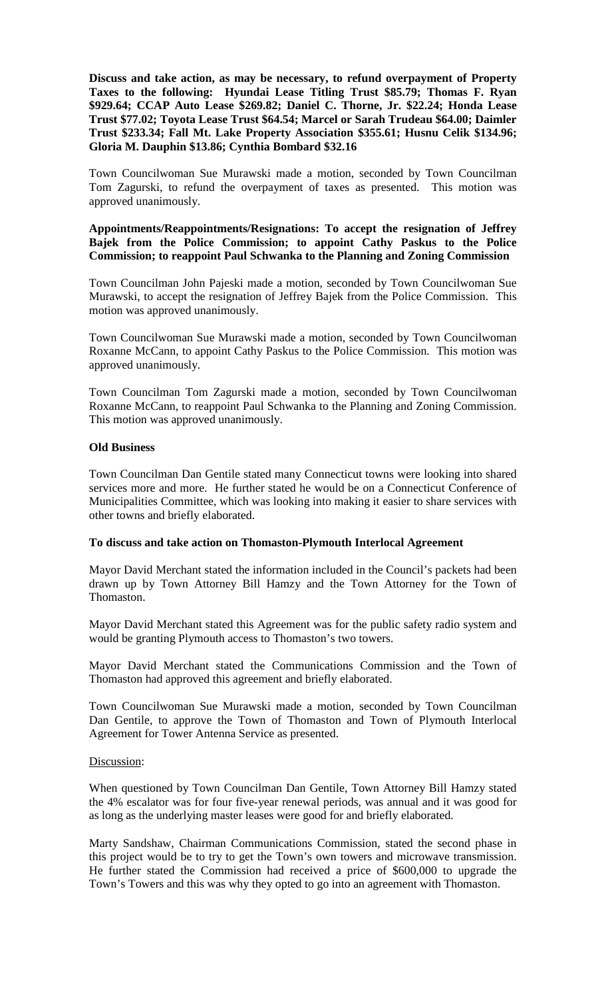**Discuss and take action, as may be necessary, to refund overpayment of Property Taxes to the following: Hyundai Lease Titling Trust \$85.79; Thomas F. Ryan \$929.64; CCAP Auto Lease \$269.82; Daniel C. Thorne, Jr. \$22.24; Honda Lease Trust \$77.02; Toyota Lease Trust \$64.54; Marcel or Sarah Trudeau \$64.00; Daimler Trust \$233.34; Fall Mt. Lake Property Association \$355.61; Husnu Celik \$134.96; Gloria M. Dauphin \$13.86; Cynthia Bombard \$32.16**

Town Councilwoman Sue Murawski made a motion, seconded by Town Councilman Tom Zagurski, to refund the overpayment of taxes as presented. This motion was approved unanimously.

## **Appointments/Reappointments/Resignations: To accept the resignation of Jeffrey Bajek from the Police Commission; to appoint Cathy Paskus to the Police Commission; to reappoint Paul Schwanka to the Planning and Zoning Commission**

Town Councilman John Pajeski made a motion, seconded by Town Councilwoman Sue Murawski, to accept the resignation of Jeffrey Bajek from the Police Commission. This motion was approved unanimously.

Town Councilwoman Sue Murawski made a motion, seconded by Town Councilwoman Roxanne McCann, to appoint Cathy Paskus to the Police Commission. This motion was approved unanimously.

Town Councilman Tom Zagurski made a motion, seconded by Town Councilwoman Roxanne McCann, to reappoint Paul Schwanka to the Planning and Zoning Commission. This motion was approved unanimously.

## **Old Business**

Town Councilman Dan Gentile stated many Connecticut towns were looking into shared services more and more. He further stated he would be on a Connecticut Conference of Municipalities Committee, which was looking into making it easier to share services with other towns and briefly elaborated.

## **To discuss and take action on Thomaston-Plymouth Interlocal Agreement**

Mayor David Merchant stated the information included in the Council's packets had been drawn up by Town Attorney Bill Hamzy and the Town Attorney for the Town of Thomaston.

Mayor David Merchant stated this Agreement was for the public safety radio system and would be granting Plymouth access to Thomaston's two towers.

Mayor David Merchant stated the Communications Commission and the Town of Thomaston had approved this agreement and briefly elaborated.

Town Councilwoman Sue Murawski made a motion, seconded by Town Councilman Dan Gentile, to approve the Town of Thomaston and Town of Plymouth Interlocal Agreement for Tower Antenna Service as presented.

## Discussion:

When questioned by Town Councilman Dan Gentile, Town Attorney Bill Hamzy stated the 4% escalator was for four five-year renewal periods, was annual and it was good for as long as the underlying master leases were good for and briefly elaborated.

Marty Sandshaw, Chairman Communications Commission, stated the second phase in this project would be to try to get the Town's own towers and microwave transmission. He further stated the Commission had received a price of \$600,000 to upgrade the Town's Towers and this was why they opted to go into an agreement with Thomaston.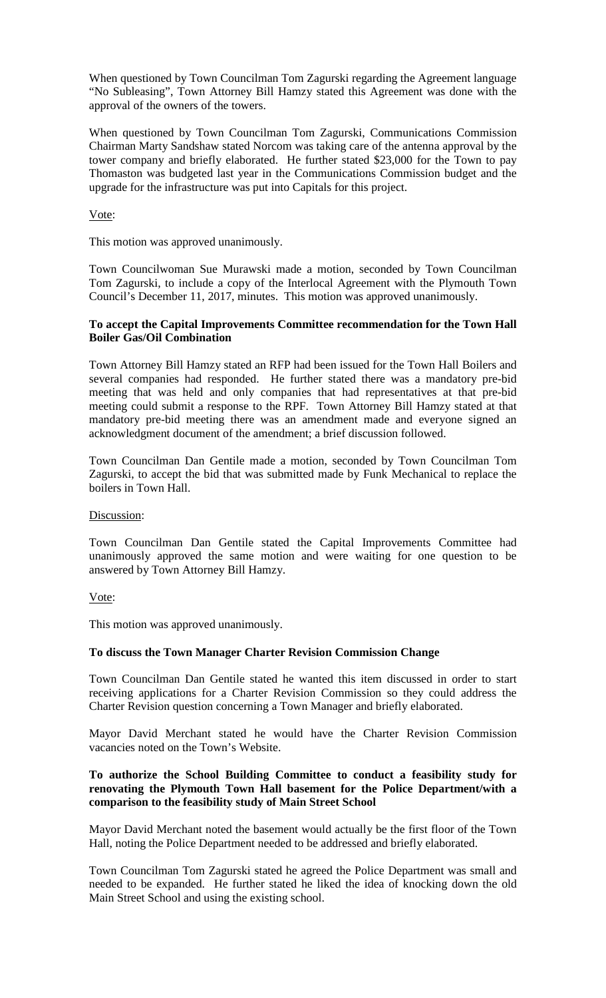When questioned by Town Councilman Tom Zagurski regarding the Agreement language "No Subleasing", Town Attorney Bill Hamzy stated this Agreement was done with the approval of the owners of the towers.

When questioned by Town Councilman Tom Zagurski, Communications Commission Chairman Marty Sandshaw stated Norcom was taking care of the antenna approval by the tower company and briefly elaborated. He further stated \$23,000 for the Town to pay Thomaston was budgeted last year in the Communications Commission budget and the upgrade for the infrastructure was put into Capitals for this project.

Vote:

This motion was approved unanimously.

Town Councilwoman Sue Murawski made a motion, seconded by Town Councilman Tom Zagurski, to include a copy of the Interlocal Agreement with the Plymouth Town Council's December 11, 2017, minutes. This motion was approved unanimously.

## **To accept the Capital Improvements Committee recommendation for the Town Hall Boiler Gas/Oil Combination**

Town Attorney Bill Hamzy stated an RFP had been issued for the Town Hall Boilers and several companies had responded. He further stated there was a mandatory pre-bid meeting that was held and only companies that had representatives at that pre-bid meeting could submit a response to the RPF. Town Attorney Bill Hamzy stated at that mandatory pre-bid meeting there was an amendment made and everyone signed an acknowledgment document of the amendment; a brief discussion followed.

Town Councilman Dan Gentile made a motion, seconded by Town Councilman Tom Zagurski, to accept the bid that was submitted made by Funk Mechanical to replace the boilers in Town Hall.

Discussion:

Town Councilman Dan Gentile stated the Capital Improvements Committee had unanimously approved the same motion and were waiting for one question to be answered by Town Attorney Bill Hamzy.

Vote:

This motion was approved unanimously.

## **To discuss the Town Manager Charter Revision Commission Change**

Town Councilman Dan Gentile stated he wanted this item discussed in order to start receiving applications for a Charter Revision Commission so they could address the Charter Revision question concerning a Town Manager and briefly elaborated.

Mayor David Merchant stated he would have the Charter Revision Commission vacancies noted on the Town's Website.

## **To authorize the School Building Committee to conduct a feasibility study for renovating the Plymouth Town Hall basement for the Police Department/with a comparison to the feasibility study of Main Street School**

Mayor David Merchant noted the basement would actually be the first floor of the Town Hall, noting the Police Department needed to be addressed and briefly elaborated.

Town Councilman Tom Zagurski stated he agreed the Police Department was small and needed to be expanded. He further stated he liked the idea of knocking down the old Main Street School and using the existing school.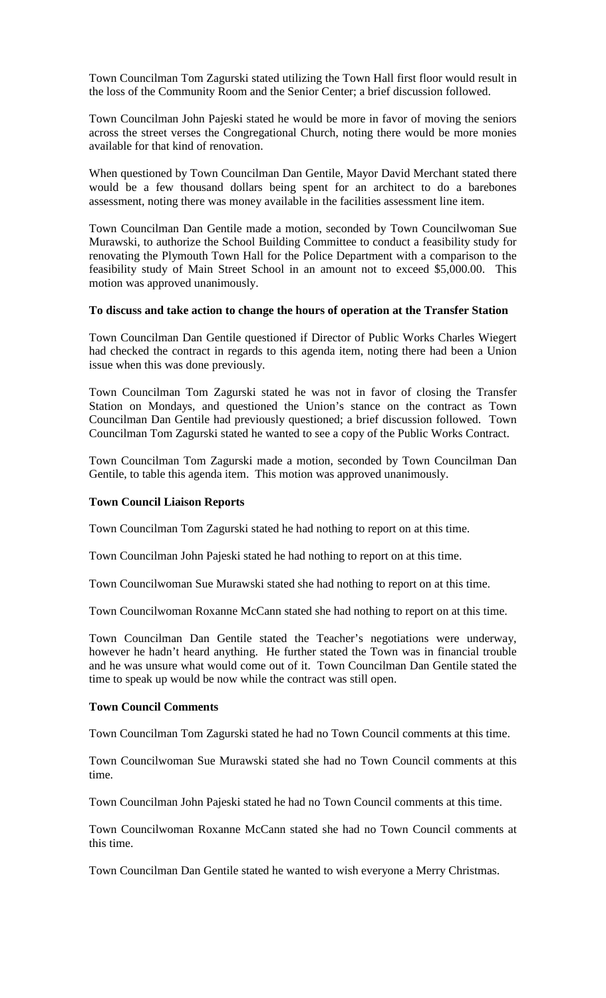Town Councilman Tom Zagurski stated utilizing the Town Hall first floor would result in the loss of the Community Room and the Senior Center; a brief discussion followed.

Town Councilman John Pajeski stated he would be more in favor of moving the seniors across the street verses the Congregational Church, noting there would be more monies available for that kind of renovation.

When questioned by Town Councilman Dan Gentile, Mayor David Merchant stated there would be a few thousand dollars being spent for an architect to do a barebones assessment, noting there was money available in the facilities assessment line item.

Town Councilman Dan Gentile made a motion, seconded by Town Councilwoman Sue Murawski, to authorize the School Building Committee to conduct a feasibility study for renovating the Plymouth Town Hall for the Police Department with a comparison to the feasibility study of Main Street School in an amount not to exceed \$5,000.00. This motion was approved unanimously.

#### **To discuss and take action to change the hours of operation at the Transfer Station**

Town Councilman Dan Gentile questioned if Director of Public Works Charles Wiegert had checked the contract in regards to this agenda item, noting there had been a Union issue when this was done previously.

Town Councilman Tom Zagurski stated he was not in favor of closing the Transfer Station on Mondays, and questioned the Union's stance on the contract as Town Councilman Dan Gentile had previously questioned; a brief discussion followed. Town Councilman Tom Zagurski stated he wanted to see a copy of the Public Works Contract.

Town Councilman Tom Zagurski made a motion, seconded by Town Councilman Dan Gentile, to table this agenda item. This motion was approved unanimously.

#### **Town Council Liaison Reports**

Town Councilman Tom Zagurski stated he had nothing to report on at this time.

Town Councilman John Pajeski stated he had nothing to report on at this time.

Town Councilwoman Sue Murawski stated she had nothing to report on at this time.

Town Councilwoman Roxanne McCann stated she had nothing to report on at this time.

Town Councilman Dan Gentile stated the Teacher's negotiations were underway, however he hadn't heard anything. He further stated the Town was in financial trouble and he was unsure what would come out of it. Town Councilman Dan Gentile stated the time to speak up would be now while the contract was still open.

## **Town Council Comments**

Town Councilman Tom Zagurski stated he had no Town Council comments at this time.

Town Councilwoman Sue Murawski stated she had no Town Council comments at this time.

Town Councilman John Pajeski stated he had no Town Council comments at this time.

Town Councilwoman Roxanne McCann stated she had no Town Council comments at this time.

Town Councilman Dan Gentile stated he wanted to wish everyone a Merry Christmas.